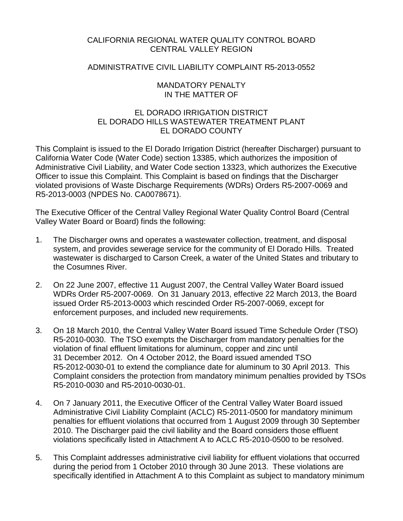## CALIFORNIA REGIONAL WATER QUALITY CONTROL BOARD CENTRAL VALLEY REGION

## ADMINISTRATIVE CIVIL LIABILITY COMPLAINT R5-2013-0552

### MANDATORY PENALTY IN THE MATTER OF

# EL DORADO IRRIGATION DISTRICT EL DORADO HILLS WASTEWATER TREATMENT PLANT EL DORADO COUNTY

This Complaint is issued to the El Dorado Irrigation District (hereafter Discharger) pursuant to California Water Code (Water Code) section 13385, which authorizes the imposition of Administrative Civil Liability, and Water Code section 13323, which authorizes the Executive Officer to issue this Complaint. This Complaint is based on findings that the Discharger violated provisions of Waste Discharge Requirements (WDRs) Orders R5-2007-0069 and R5-2013-0003 (NPDES No. CA0078671).

The Executive Officer of the Central Valley Regional Water Quality Control Board (Central Valley Water Board or Board) finds the following:

- 1. The Discharger owns and operates a wastewater collection, treatment, and disposal system, and provides sewerage service for the community of El Dorado Hills. Treated wastewater is discharged to Carson Creek, a water of the United States and tributary to the Cosumnes River.
- 2. On 22 June 2007, effective 11 August 2007, the Central Valley Water Board issued WDRs Order R5-2007-0069. On 31 January 2013, effective 22 March 2013, the Board issued Order R5-2013-0003 which rescinded Order R5-2007-0069, except for enforcement purposes, and included new requirements.
- 3. On 18 March 2010, the Central Valley Water Board issued Time Schedule Order (TSO) R5-2010-0030. The TSO exempts the Discharger from mandatory penalties for the violation of final effluent limitations for aluminum, copper and zinc until 31 December 2012. On 4 October 2012, the Board issued amended TSO R5-2012-0030-01 to extend the compliance date for aluminum to 30 April 2013. This Complaint considers the protection from mandatory minimum penalties provided by TSOs R5-2010-0030 and R5-2010-0030-01.
- 4. On 7 January 2011, the Executive Officer of the Central Valley Water Board issued Administrative Civil Liability Complaint (ACLC) R5-2011-0500 for mandatory minimum penalties for effluent violations that occurred from 1 August 2009 through 30 September 2010. The Discharger paid the civil liability and the Board considers those effluent violations specifically listed in Attachment A to ACLC R5-2010-0500 to be resolved.
- 5. This Complaint addresses administrative civil liability for effluent violations that occurred during the period from 1 October 2010 through 30 June 2013. These violations are specifically identified in Attachment A to this Complaint as subject to mandatory minimum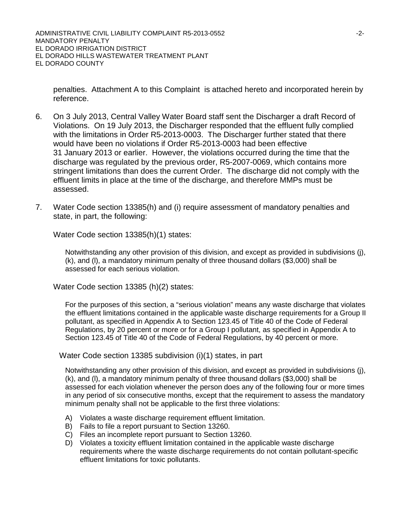penalties. Attachment A to this Complaint is attached hereto and incorporated herein by reference.

- 6. On 3 July 2013, Central Valley Water Board staff sent the Discharger a draft Record of Violations. On 19 July 2013, the Discharger responded that the effluent fully complied with the limitations in Order R5-2013-0003. The Discharger further stated that there would have been no violations if Order R5-2013-0003 had been effective 31 January 2013 or earlier. However, the violations occurred during the time that the discharge was regulated by the previous order, R5-2007-0069, which contains more stringent limitations than does the current Order. The discharge did not comply with the effluent limits in place at the time of the discharge, and therefore MMPs must be assessed.
- 7. Water Code section 13385(h) and (i) require assessment of mandatory penalties and state, in part, the following:

Water Code section 13385(h)(1) states:

Notwithstanding any other provision of this division, and except as provided in subdivisions (j), (k), and (l), a mandatory minimum penalty of three thousand dollars (\$3,000) shall be assessed for each serious violation.

Water Code section 13385 (h)(2) states:

For the purposes of this section, a "serious violation" means any waste discharge that violates the effluent limitations contained in the applicable waste discharge requirements for a Group II pollutant, as specified in Appendix A to Section 123.45 of Title 40 of the Code of Federal Regulations, by 20 percent or more or for a Group I pollutant, as specified in Appendix A to Section 123.45 of Title 40 of the Code of Federal Regulations, by 40 percent or more.

Water Code section 13385 subdivision (i)(1) states, in part

Notwithstanding any other provision of this division, and except as provided in subdivisions (j), (k), and (l), a mandatory minimum penalty of three thousand dollars (\$3,000) shall be assessed for each violation whenever the person does any of the following four or more times in any period of six consecutive months, except that the requirement to assess the mandatory minimum penalty shall not be applicable to the first three violations:

- A) Violates a waste discharge requirement effluent limitation.
- B) Fails to file a report pursuant to Section 13260.
- C) Files an incomplete report pursuant to Section 13260.
- D) Violates a toxicity effluent limitation contained in the applicable waste discharge requirements where the waste discharge requirements do not contain pollutant-specific effluent limitations for toxic pollutants.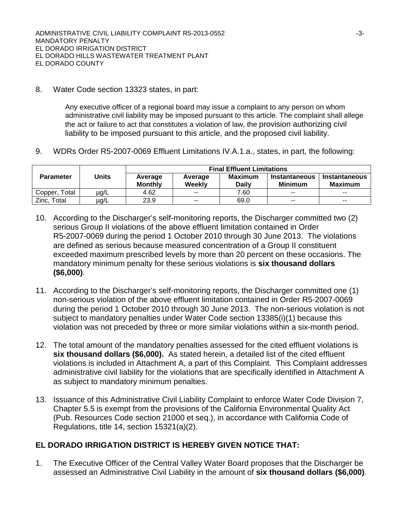8. Water Code section 13323 states, in part:

Any executive officer of a regional board may issue a complaint to any person on whom administrative civil liability may be imposed pursuant to this article. The complaint shall allege the act or failure to act that constitutes a violation of law, the provision authorizing civil liability to be imposed pursuant to this article, and the proposed civil liability.

9. WDRs Order R5-2007-0069 Effluent Limitations IV.A.1.a., states, in part, the following:

|                  | Units     | <b>Final Effluent Limitations</b> |                   |                         |                                 |                                 |  |
|------------------|-----------|-----------------------------------|-------------------|-------------------------|---------------------------------|---------------------------------|--|
| <b>Parameter</b> |           | Average<br><b>Monthly</b>         | Average<br>Weekly | Maximum<br><b>Daily</b> | Instantaneous<br><b>Minimum</b> | Instantaneous<br><b>Maximum</b> |  |
| Total<br>Copper. | $\mu$ g/L | 4.62                              | $- -$             | 7.60                    | $- -$                           | $- -$                           |  |
| Zinc, Total      | µg/L      | 23.9                              | $\sim$ $\sim$     | 69.0                    | $\sim$ $\sim$                   | $\sim$ $\sim$                   |  |

- 10. According to the Discharger's self-monitoring reports, the Discharger committed two (2) serious Group II violations of the above effluent limitation contained in Order R5-2007-0069 during the period 1 October 2010 through 30 June 2013. The violations are defined as serious because measured concentration of a Group II constituent exceeded maximum prescribed levels by more than 20 percent on these occasions. The mandatory minimum penalty for these serious violations is **six thousand dollars (\$6,000)**.
- 11. According to the Discharger's self-monitoring reports, the Discharger committed one (1) non-serious violation of the above effluent limitation contained in Order R5-2007-0069 during the period 1 October 2010 through 30 June 2013. The non-serious violation is not subject to mandatory penalties under Water Code section 13385(i)(1) because this violation was not preceded by three or more similar violations within a six-month period.
- 12. The total amount of the mandatory penalties assessed for the cited effluent violations is **six thousand dollars (\$6,000).** As stated herein, a detailed list of the cited effluent violations is included in Attachment A, a part of this Complaint. This Complaint addresses administrative civil liability for the violations that are specifically identified in Attachment A as subject to mandatory minimum penalties.
- 13. Issuance of this Administrative Civil Liability Complaint to enforce Water Code Division 7, Chapter 5.5 is exempt from the provisions of the California Environmental Quality Act (Pub. Resources Code section 21000 et seq.), in accordance with California Code of Regulations, title 14, section 15321(a)(2).

## **EL DORADO IRRIGATION DISTRICT IS HEREBY GIVEN NOTICE THAT:**

1. The Executive Officer of the Central Valley Water Board proposes that the Discharger be assessed an Administrative Civil Liability in the amount of **six thousand dollars (\$6,000)**.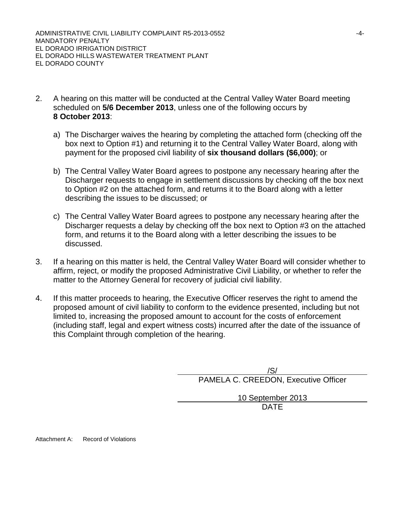ADMINISTRATIVE CIVIL LIABILITY COMPLAINT R5-2013-0552 -4- MANDATORY PENALTY EL DORADO IRRIGATION DISTRICT EL DORADO HILLS WASTEWATER TREATMENT PLANT EL DORADO COUNTY

- 2. A hearing on this matter will be conducted at the Central Valley Water Board meeting scheduled on **5/6 December 2013**, unless one of the following occurs by **8 October 2013**:
	- a) The Discharger waives the hearing by completing the attached form (checking off the box next to Option #1) and returning it to the Central Valley Water Board, along with payment for the proposed civil liability of **six thousand dollars (\$6,000)**; or
	- b) The Central Valley Water Board agrees to postpone any necessary hearing after the Discharger requests to engage in settlement discussions by checking off the box next to Option #2 on the attached form, and returns it to the Board along with a letter describing the issues to be discussed; or
	- c) The Central Valley Water Board agrees to postpone any necessary hearing after the Discharger requests a delay by checking off the box next to Option #3 on the attached form, and returns it to the Board along with a letter describing the issues to be discussed.
- 3. If a hearing on this matter is held, the Central Valley Water Board will consider whether to affirm, reject, or modify the proposed Administrative Civil Liability, or whether to refer the matter to the Attorney General for recovery of judicial civil liability.
- 4. If this matter proceeds to hearing, the Executive Officer reserves the right to amend the proposed amount of civil liability to conform to the evidence presented, including but not limited to, increasing the proposed amount to account for the costs of enforcement (including staff, legal and expert witness costs) incurred after the date of the issuance of this Complaint through completion of the hearing.

/S/ PAMELA C. CREEDON, Executive Officer 10 September 2013 DATE

Attachment A: Record of Violations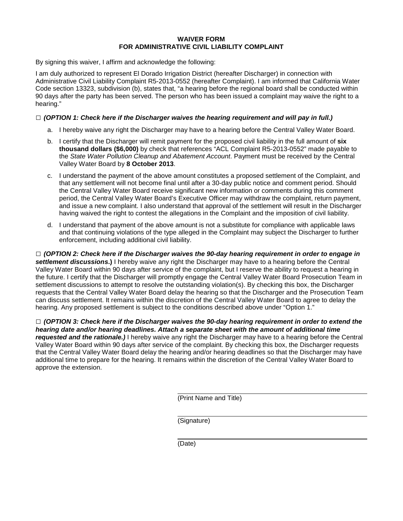#### **WAIVER FORM FOR ADMINISTRATIVE CIVIL LIABILITY COMPLAINT**

By signing this waiver, I affirm and acknowledge the following:

I am duly authorized to represent El Dorado Irrigation District (hereafter Discharger) in connection with Administrative Civil Liability Complaint R5-2013-0552 (hereafter Complaint). I am informed that California Water Code section 13323, subdivision (b), states that, "a hearing before the regional board shall be conducted within 90 days after the party has been served. The person who has been issued a complaint may waive the right to a hearing."

#### **□** *(OPTION 1: Check here if the Discharger waives the hearing requirement and will pay in full.)*

- a. I hereby waive any right the Discharger may have to a hearing before the Central Valley Water Board.
- b. I certify that the Discharger will remit payment for the proposed civil liability in the full amount of **six thousand dollars (\$6,000)** by check that references "ACL Complaint R5-2013-0552" made payable to the *State Water Pollution Cleanup and Abatement Account*. Payment must be received by the Central Valley Water Board by **8 October 2013**.
- c. I understand the payment of the above amount constitutes a proposed settlement of the Complaint, and that any settlement will not become final until after a 30-day public notice and comment period. Should the Central Valley Water Board receive significant new information or comments during this comment period, the Central Valley Water Board's Executive Officer may withdraw the complaint, return payment, and issue a new complaint. I also understand that approval of the settlement will result in the Discharger having waived the right to contest the allegations in the Complaint and the imposition of civil liability.
- d. I understand that payment of the above amount is not a substitute for compliance with applicable laws and that continuing violations of the type alleged in the Complaint may subject the Discharger to further enforcement, including additional civil liability.

**□** *(OPTION 2: Check here if the Discharger waives the 90-day hearing requirement in order to engage in settlement discussions***.)** I hereby waive any right the Discharger may have to a hearing before the Central Valley Water Board within 90 days after service of the complaint, but I reserve the ability to request a hearing in the future. I certify that the Discharger will promptly engage the Central Valley Water Board Prosecution Team in settlement discussions to attempt to resolve the outstanding violation(s). By checking this box, the Discharger requests that the Central Valley Water Board delay the hearing so that the Discharger and the Prosecution Team can discuss settlement. It remains within the discretion of the Central Valley Water Board to agree to delay the hearing. Any proposed settlement is subject to the conditions described above under "Option 1."

**□** *(OPTION 3: Check here if the Discharger waives the 90-day hearing requirement in order to extend the hearing date and/or hearing deadlines. Attach a separate sheet with the amount of additional time requested and the rationale.)* I hereby waive any right the Discharger may have to a hearing before the Central Valley Water Board within 90 days after service of the complaint. By checking this box, the Discharger requests that the Central Valley Water Board delay the hearing and/or hearing deadlines so that the Discharger may have additional time to prepare for the hearing. It remains within the discretion of the Central Valley Water Board to approve the extension.

(Print Name and Title)

(Signature)

(Date)